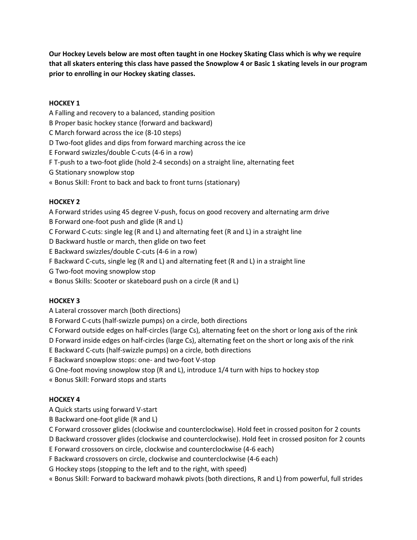**Our Hockey Levels below are most often taught in one Hockey Skating Class which is why we require that all skaters entering this class have passed the Snowplow 4 or Basic 1 skating levels in our program prior to enrolling in our Hockey skating classes.**

### **HOCKEY 1**

A Falling and recovery to a balanced, standing position

B Proper basic hockey stance (forward and backward)

C March forward across the ice (8-10 steps)

D Two-foot glides and dips from forward marching across the ice

E Forward swizzles/double C-cuts (4-6 in a row)

F T-push to a two-foot glide (hold 2-4 seconds) on a straight line, alternating feet

G Stationary snowplow stop

« Bonus Skill: Front to back and back to front turns (stationary)

### **HOCKEY 2**

A Forward strides using 45 degree V-push, focus on good recovery and alternating arm drive

B Forward one-foot push and glide (R and L)

C Forward C-cuts: single leg (R and L) and alternating feet (R and L) in a straight line

D Backward hustle or march, then glide on two feet

E Backward swizzles/double C-cuts (4-6 in a row)

F Backward C-cuts, single leg (R and L) and alternating feet (R and L) in a straight line

G Two-foot moving snowplow stop

« Bonus Skills: Scooter or skateboard push on a circle (R and L)

#### **HOCKEY 3**

A Lateral crossover march (both directions)

B Forward C-cuts (half-swizzle pumps) on a circle, both directions

C Forward outside edges on half-circles (large Cs), alternating feet on the short or long axis of the rink

D Forward inside edges on half-circles (large Cs), alternating feet on the short or long axis of the rink

E Backward C-cuts (half-swizzle pumps) on a circle, both directions

F Backward snowplow stops: one- and two-foot V-stop

G One-foot moving snowplow stop (R and L), introduce 1/4 turn with hips to hockey stop

« Bonus Skill: Forward stops and starts

# **HOCKEY 4**

A Quick starts using forward V-start

B Backward one-foot glide (R and L)

C Forward crossover glides (clockwise and counterclockwise). Hold feet in crossed positon for 2 counts

D Backward crossover glides (clockwise and counterclockwise). Hold feet in crossed positon for 2 counts

E Forward crossovers on circle, clockwise and counterclockwise (4-6 each)

F Backward crossovers on circle, clockwise and counterclockwise (4-6 each)

G Hockey stops (stopping to the left and to the right, with speed)

« Bonus Skill: Forward to backward mohawk pivots (both directions, R and L) from powerful, full strides